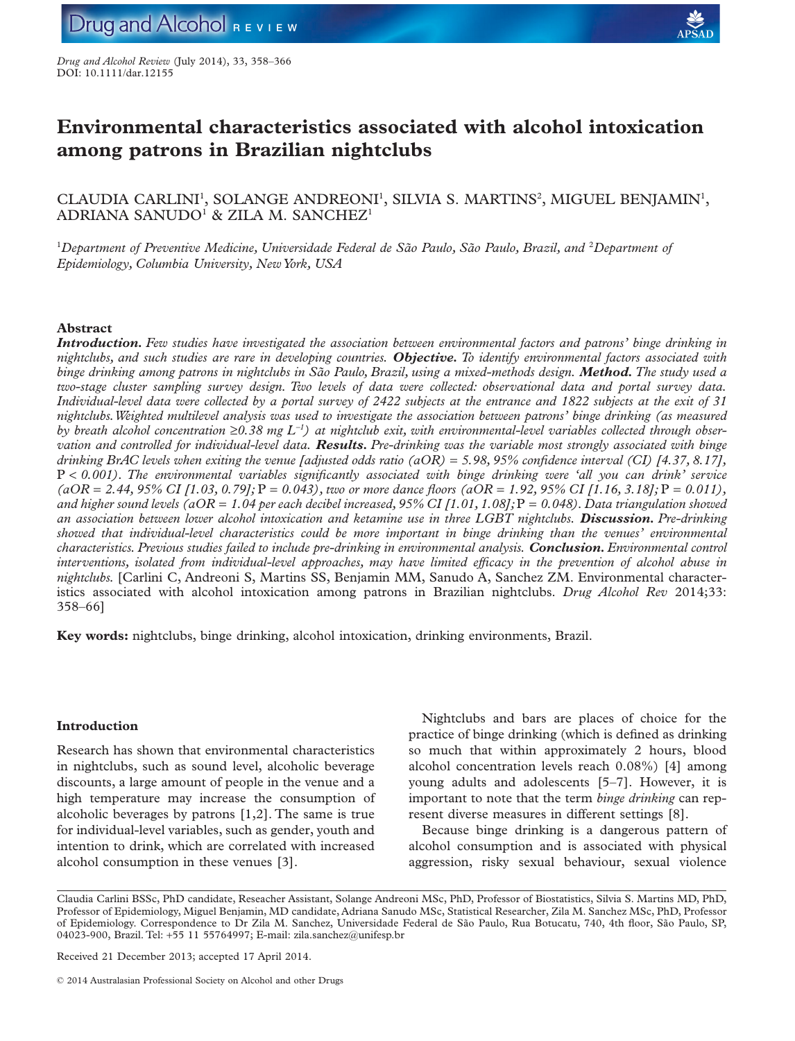

# **Environmental characteristics associated with alcohol intoxication among patrons in Brazilian nightclubs**

CLAUDIA CARLINI<sup>1</sup>, SOLANGE ANDREONI<sup>1</sup>, SILVIA S. MARTINS<sup>2</sup>, MIGUEL BENJAMIN<sup>1</sup>, ADRIANA SANUDO1 & ZILA M. SANCHEZ1

<sup>1</sup>Department of Preventive Medicine, Universidade Federal de São Paulo, São Paulo, Brazil, and <sup>2</sup>Department of *Epidemiology, Columbia University, NewYork, USA*

## **Abstract**

bs\_bs\_banner

*Introduction. Few studies have investigated the association between environmental factors and patrons' binge drinking in nightclubs, and such studies are rare in developing countries. Objective. To identify environmental factors associated with binge drinking among patrons in nightclubs in São Paulo, Brazil, using a mixed-methods design. Method. The study used a two-stage cluster sampling survey design. Two levels of data were collected: observational data and portal survey data. Individual-level data were collected by a portal survey of 2422 subjects at the entrance and 1822 subjects at the exit of 31 nightclubs.Weighted multilevel analysis was used to investigate the association between patrons' binge drinking (as measured by breath alcohol concentration* ≥*0.38 mg L<sup>−</sup><sup>1</sup> ) at nightclub exit, with environmental-level variables collected through observation and controlled for individual-level data. Results. Pre-drinking was the variable most strongly associated with binge drinking BrAC levels when exiting the venue [adjusted odds ratio (aOR)* = *5.98, 95% confidence interval (CI) [4.37, 8.17],* P < *0.001). The environmental variables significantly associated with binge drinking were 'all you can drink' service (aOR* = *2.44, 95% CI [1.03, 0.79];* P = *0.043), two or more dance floors (aOR* = *1.92, 95% CI [1.16, 3.18];* P = *0.011), and higher sound levels (aOR* = *1.04 per each decibel increased,95% CI [1.01,1.08];*P = *0.048).Data triangulation showed an association between lower alcohol intoxication and ketamine use in three LGBT nightclubs. Discussion. Pre-drinking showed that individual-level characteristics could be more important in binge drinking than the venues' environmental characteristics. Previous studies failed to include pre-drinking in environmental analysis. Conclusion. Environmental control interventions, isolated from individual-level approaches, may have limited efficacy in the prevention of alcohol abuse in nightclubs.* [Carlini C, Andreoni S, Martins SS, Benjamin MM, Sanudo A, Sanchez ZM. Environmental characteristics associated with alcohol intoxication among patrons in Brazilian nightclubs. *Drug Alcohol Rev* 2014;33: 358–66]

**Key words:** nightclubs, binge drinking, alcohol intoxication, drinking environments, Brazil.

## **Introduction**

Research has shown that environmental characteristics in nightclubs, such as sound level, alcoholic beverage discounts, a large amount of people in the venue and a high temperature may increase the consumption of alcoholic beverages by patrons [1,2]. The same is true for individual-level variables, such as gender, youth and intention to drink, which are correlated with increased alcohol consumption in these venues [3].

Nightclubs and bars are places of choice for the practice of binge drinking (which is defined as drinking so much that within approximately 2 hours, blood alcohol concentration levels reach 0.08%) [4] among young adults and adolescents [5–7]. However, it is important to note that the term *binge drinking* can represent diverse measures in different settings [8].

Because binge drinking is a dangerous pattern of alcohol consumption and is associated with physical aggression, risky sexual behaviour, sexual violence

Claudia Carlini BSSc, PhD candidate, Reseacher Assistant, Solange Andreoni MSc, PhD, Professor of Biostatistics, Silvia S. Martins MD, PhD, Professor of Epidemiology, Miguel Benjamin, MD candidate, Adriana Sanudo MSc, Statistical Researcher, Zila M. Sanchez MSc, PhD, Professor of Epidemiology. Correspondence to Dr Zila M. Sanchez, Universidade Federal de São Paulo, Rua Botucatu, 740, 4th floor, São Paulo, SP, 04023-900, Brazil. Tel: +55 11 55764997; E-mail: [zila.sanchez@unifesp.br](mailto:zila.sanchez@unifesp.br)

Received 21 December 2013; accepted 17 April 2014.

<sup>© 2014</sup> Australasian Professional Society on Alcohol and other Drugs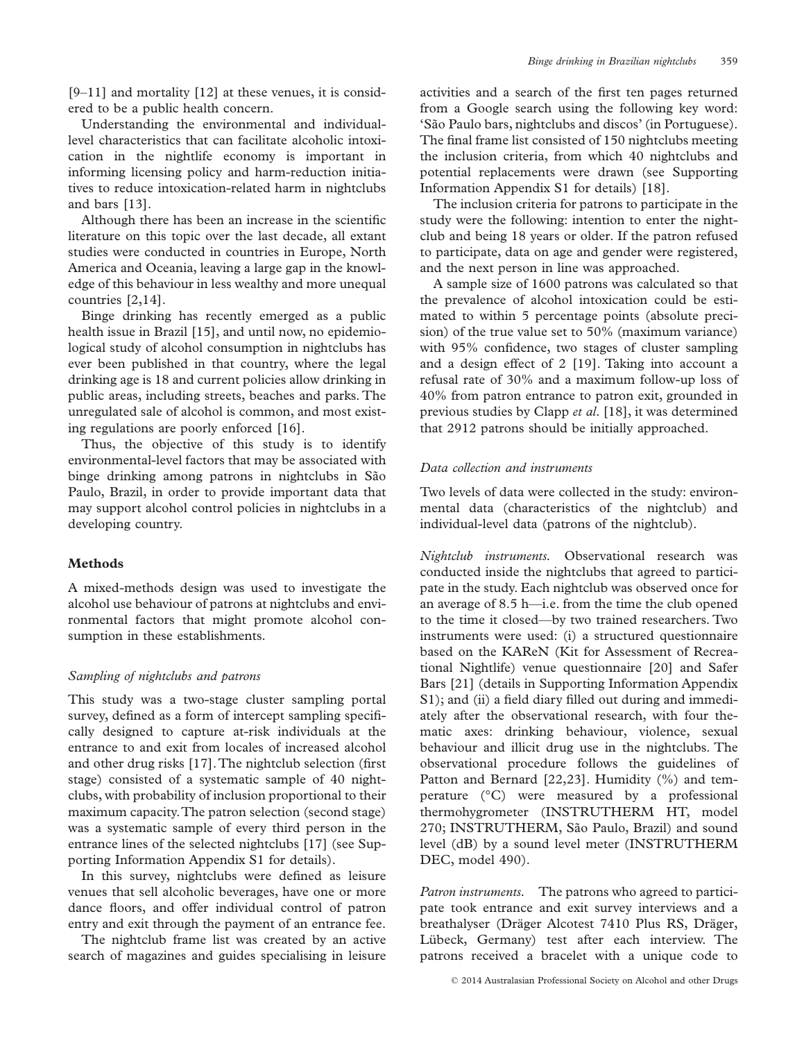[9–11] and mortality [12] at these venues, it is considered to be a public health concern.

Understanding the environmental and individuallevel characteristics that can facilitate alcoholic intoxication in the nightlife economy is important in informing licensing policy and harm-reduction initiatives to reduce intoxication-related harm in nightclubs and bars [13].

Although there has been an increase in the scientific literature on this topic over the last decade, all extant studies were conducted in countries in Europe, North America and Oceania, leaving a large gap in the knowledge of this behaviour in less wealthy and more unequal countries [2,14].

Binge drinking has recently emerged as a public health issue in Brazil [15], and until now, no epidemiological study of alcohol consumption in nightclubs has ever been published in that country, where the legal drinking age is 18 and current policies allow drinking in public areas, including streets, beaches and parks. The unregulated sale of alcohol is common, and most existing regulations are poorly enforced [16].

Thus, the objective of this study is to identify environmental-level factors that may be associated with binge drinking among patrons in nightclubs in São Paulo, Brazil, in order to provide important data that may support alcohol control policies in nightclubs in a developing country.

# **Methods**

A mixed-methods design was used to investigate the alcohol use behaviour of patrons at nightclubs and environmental factors that might promote alcohol consumption in these establishments.

# *Sampling of nightclubs and patrons*

This study was a two-stage cluster sampling portal survey, defined as a form of intercept sampling specifically designed to capture at-risk individuals at the entrance to and exit from locales of increased alcohol and other drug risks [17].The nightclub selection (first stage) consisted of a systematic sample of 40 nightclubs, with probability of inclusion proportional to their maximum capacity.The patron selection (second stage) was a systematic sample of every third person in the entrance lines of the selected nightclubs [17] (see Supporting Information Appendix S1 for details).

In this survey, nightclubs were defined as leisure venues that sell alcoholic beverages, have one or more dance floors, and offer individual control of patron entry and exit through the payment of an entrance fee.

The nightclub frame list was created by an active search of magazines and guides specialising in leisure

activities and a search of the first ten pages returned from a Google search using the following key word: 'São Paulo bars, nightclubs and discos' (in Portuguese). The final frame list consisted of 150 nightclubs meeting the inclusion criteria, from which 40 nightclubs and potential replacements were drawn (see Supporting Information Appendix S1 for details) [18].

The inclusion criteria for patrons to participate in the study were the following: intention to enter the nightclub and being 18 years or older. If the patron refused to participate, data on age and gender were registered, and the next person in line was approached.

A sample size of 1600 patrons was calculated so that the prevalence of alcohol intoxication could be estimated to within 5 percentage points (absolute precision) of the true value set to 50% (maximum variance) with 95% confidence, two stages of cluster sampling and a design effect of 2 [19]. Taking into account a refusal rate of 30% and a maximum follow-up loss of 40% from patron entrance to patron exit, grounded in previous studies by Clapp *et al*. [18], it was determined that 2912 patrons should be initially approached.

# *Data collection and instruments*

Two levels of data were collected in the study: environmental data (characteristics of the nightclub) and individual-level data (patrons of the nightclub).

*Nightclub instruments.* Observational research was conducted inside the nightclubs that agreed to participate in the study. Each nightclub was observed once for an average of 8.5 h—i.e. from the time the club opened to the time it closed—by two trained researchers. Two instruments were used: (i) a structured questionnaire based on the KAReN (Kit for Assessment of Recreational Nightlife) venue questionnaire [20] and Safer Bars [21] (details in Supporting Information Appendix S1); and (ii) a field diary filled out during and immediately after the observational research, with four thematic axes: drinking behaviour, violence, sexual behaviour and illicit drug use in the nightclubs. The observational procedure follows the guidelines of Patton and Bernard [22,23]. Humidity (%) and temperature (°C) were measured by a professional thermohygrometer (INSTRUTHERM HT, model 270; INSTRUTHERM, São Paulo, Brazil) and sound level (dB) by a sound level meter (INSTRUTHERM DEC, model 490).

*Patron instruments.* The patrons who agreed to participate took entrance and exit survey interviews and a breathalyser (Dräger Alcotest 7410 Plus RS, Dräger, Lübeck, Germany) test after each interview. The patrons received a bracelet with a unique code to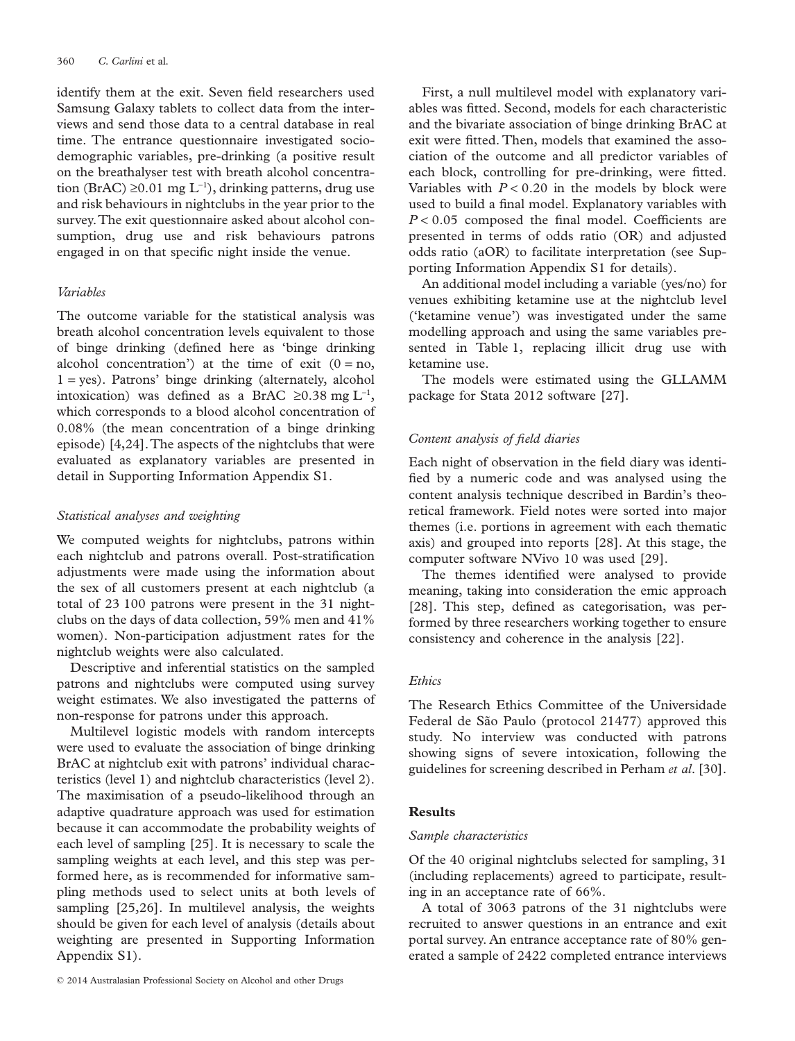identify them at the exit. Seven field researchers used Samsung Galaxy tablets to collect data from the interviews and send those data to a central database in real time. The entrance questionnaire investigated sociodemographic variables, pre-drinking (a positive result on the breathalyser test with breath alcohol concentration (BrAC) ≥0.01 mg L<sup>-1</sup>), drinking patterns, drug use and risk behaviours in nightclubs in the year prior to the survey.The exit questionnaire asked about alcohol consumption, drug use and risk behaviours patrons engaged in on that specific night inside the venue.

## *Variables*

The outcome variable for the statistical analysis was breath alcohol concentration levels equivalent to those of binge drinking (defined here as 'binge drinking alcohol concentration') at the time of exit  $(0 = no,$  $1 = yes$ ). Patrons' binge drinking (alternately, alcohol intoxication) was defined as a BrAC ≥0.38 mg  $L^{-1}$ , which corresponds to a blood alcohol concentration of 0.08% (the mean concentration of a binge drinking episode) [4,24].The aspects of the nightclubs that were evaluated as explanatory variables are presented in detail in Supporting Information Appendix S1.

### *Statistical analyses and weighting*

We computed weights for nightclubs, patrons within each nightclub and patrons overall. Post-stratification adjustments were made using the information about the sex of all customers present at each nightclub (a total of 23 100 patrons were present in the 31 nightclubs on the days of data collection, 59% men and 41% women). Non-participation adjustment rates for the nightclub weights were also calculated.

Descriptive and inferential statistics on the sampled patrons and nightclubs were computed using survey weight estimates. We also investigated the patterns of non-response for patrons under this approach.

Multilevel logistic models with random intercepts were used to evaluate the association of binge drinking BrAC at nightclub exit with patrons' individual characteristics (level 1) and nightclub characteristics (level 2). The maximisation of a pseudo-likelihood through an adaptive quadrature approach was used for estimation because it can accommodate the probability weights of each level of sampling [25]. It is necessary to scale the sampling weights at each level, and this step was performed here, as is recommended for informative sampling methods used to select units at both levels of sampling [25,26]. In multilevel analysis, the weights should be given for each level of analysis (details about weighting are presented in Supporting Information Appendix S1).

First, a null multilevel model with explanatory variables was fitted. Second, models for each characteristic and the bivariate association of binge drinking BrAC at exit were fitted. Then, models that examined the association of the outcome and all predictor variables of each block, controlling for pre-drinking, were fitted. Variables with  $P < 0.20$  in the models by block were used to build a final model. Explanatory variables with *P* < 0.05 composed the final model. Coefficients are presented in terms of odds ratio (OR) and adjusted odds ratio (aOR) to facilitate interpretation (see Supporting Information Appendix S1 for details).

An additional model including a variable (yes/no) for venues exhibiting ketamine use at the nightclub level ('ketamine venue') was investigated under the same modelling approach and using the same variables presented in Table 1, replacing illicit drug use with ketamine use.

The models were estimated using the GLLAMM package for Stata 2012 software [27].

# *Content analysis of field diaries*

Each night of observation in the field diary was identified by a numeric code and was analysed using the content analysis technique described in Bardin's theoretical framework. Field notes were sorted into major themes (i.e. portions in agreement with each thematic axis) and grouped into reports [28]. At this stage, the computer software NVivo 10 was used [29].

The themes identified were analysed to provide meaning, taking into consideration the emic approach [28]. This step, defined as categorisation, was performed by three researchers working together to ensure consistency and coherence in the analysis [22].

# *Ethics*

The Research Ethics Committee of the Universidade Federal de São Paulo (protocol 21477) approved this study. No interview was conducted with patrons showing signs of severe intoxication, following the guidelines for screening described in Perham *et al*. [30].

#### **Results**

#### *Sample characteristics*

Of the 40 original nightclubs selected for sampling, 31 (including replacements) agreed to participate, resulting in an acceptance rate of 66%.

A total of 3063 patrons of the 31 nightclubs were recruited to answer questions in an entrance and exit portal survey. An entrance acceptance rate of 80% generated a sample of 2422 completed entrance interviews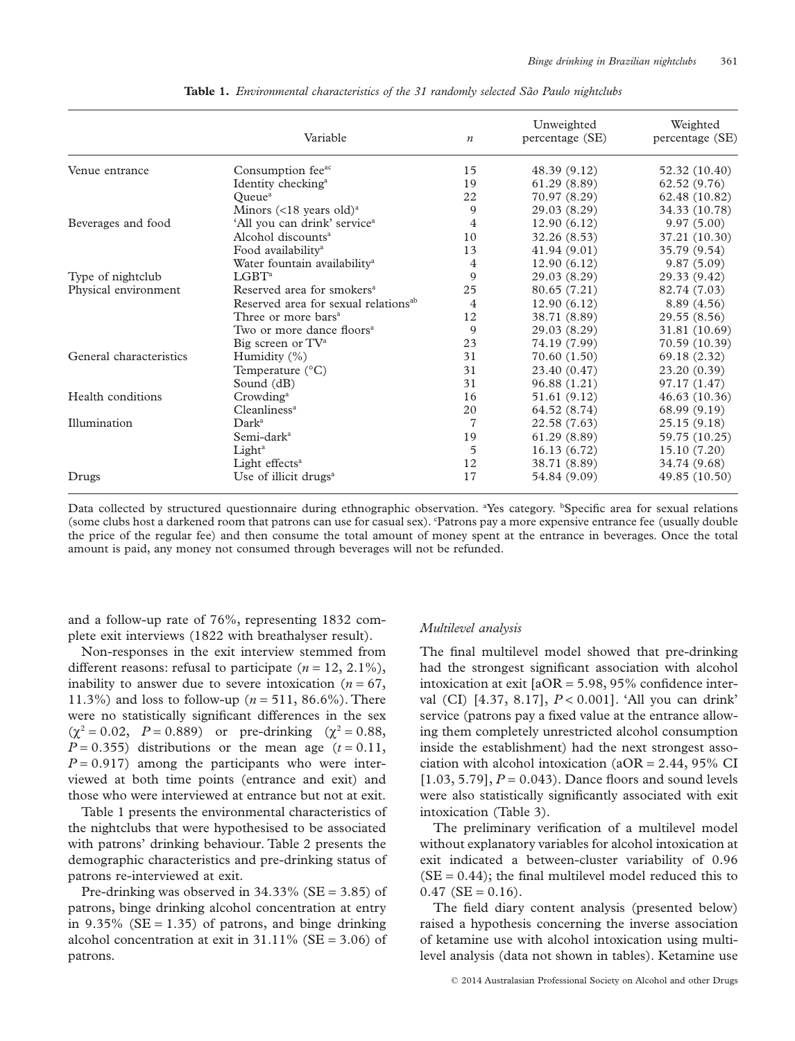|                         | Variable                                         | $\boldsymbol{n}$ | Unweighted<br>percentage (SE) | Weighted<br>percentage (SE) |  |
|-------------------------|--------------------------------------------------|------------------|-------------------------------|-----------------------------|--|
| Venue entrance          | Consumption fee <sup>ac</sup>                    | 15               | 48.39 (9.12)                  | 52.32 (10.40)               |  |
|                         | Identity checking <sup>a</sup>                   | 19               | 61.29 (8.89)                  | 62.52(9.76)                 |  |
|                         | Oueue <sup>a</sup>                               | 22               | 70.97 (8.29)                  | 62.48 (10.82)               |  |
|                         | Minors $(<18$ years old) <sup>a</sup>            | 9                | 29.03 (8.29)                  | 34.33 (10.78)               |  |
| Beverages and food      | 'All you can drink' service <sup>a</sup>         | 4                | 12.90(6.12)                   | 9.97(5.00)                  |  |
|                         | Alcohol discounts <sup>a</sup>                   | 10               | 32.26 (8.53)                  | 37.21 (10.30)               |  |
|                         | Food availability <sup>a</sup>                   | 13               | 41.94 (9.01)                  | 35.79 (9.54)                |  |
|                         | Water fountain availability <sup>a</sup>         | 4                | 12.90(6.12)                   | 9.87(5.09)                  |  |
| Type of nightclub       | L <sub>GBT</sub> <sup>a</sup>                    | $\mathbf Q$      | 29.03 (8.29)                  | 29.33 (9.42)                |  |
| Physical environment    | Reserved area for smokers <sup>a</sup>           | 25               | 80.65 (7.21)                  | 82.74 (7.03)                |  |
|                         | Reserved area for sexual relations <sup>ab</sup> | 4                | 12.90(6.12)                   | 8.89 (4.56)                 |  |
|                         | Three or more bars <sup>a</sup>                  | 12               | 38.71 (8.89)                  | 29.55(8.56)                 |  |
|                         | Two or more dance floors <sup>a</sup>            | 9                | 29.03 (8.29)                  | 31.81 (10.69)               |  |
|                         | Big screen or TV <sup>a</sup>                    | 23               | 74.19 (7.99)                  | 70.59 (10.39)               |  |
| General characteristics | Humidity $(\% )$                                 | 31               | 70.60 (1.50)                  | 69.18 (2.32)                |  |
|                         | Temperature (°C)                                 | 31               | 23.40 (0.47)                  | 23.20 (0.39)                |  |
|                         | Sound (dB)                                       | 31               | 96.88 (1.21)                  | 97.17 (1.47)                |  |
| Health conditions       | Crowding <sup>a</sup>                            | 16               | 51.61 (9.12)                  | 46.63 (10.36)               |  |
|                         | Cleanliness <sup>a</sup>                         | 20               | 64.52 (8.74)                  | 68.99 (9.19)                |  |
| Illumination            | Dark <sup>a</sup>                                | $\overline{7}$   | 22.58 (7.63)                  | 25.15(9.18)                 |  |
|                         | Semi-dark <sup>a</sup>                           | 19               | 61.29 (8.89)                  | 59.75 (10.25)               |  |
|                         | Light <sup>a</sup>                               | 5                | 16.13(6.72)                   | 15.10(7.20)                 |  |
|                         | Light effects <sup>a</sup>                       | 12               | 38.71 (8.89)                  | 34.74 (9.68)                |  |
| Drugs                   | Use of illicit drugs $a$                         | 17               | 54.84 (9.09)                  | 49.85 (10.50)               |  |

**Table 1.** *Environmental characteristics of the 31 randomly selected São Paulo nightclubs*

Data collected by structured questionnaire during ethnographic observation. <sup>a</sup>Yes category. <sup>b</sup>Specific area for sexual relations (some clubs host a darkened room that patrons can use for casual sex). <sup>c</sup> Patrons pay a more expensive entrance fee (usually double the price of the regular fee) and then consume the total amount of money spent at the entrance in beverages. Once the total amount is paid, any money not consumed through beverages will not be refunded.

and a follow-up rate of 76%, representing 1832 complete exit interviews (1822 with breathalyser result).

Non-responses in the exit interview stemmed from different reasons: refusal to participate  $(n = 12, 2.1\%)$ , inability to answer due to severe intoxication ( $n = 67$ , 11.3%) and loss to follow-up (*n* = 511, 86.6%). There were no statistically significant differences in the sex  $(\chi^2 = 0.02, P = 0.889)$  or pre-drinking  $(\chi^2 = 0.88,$  $P = 0.355$ ) distributions or the mean age  $(t = 0.11)$ ,  $P = 0.917$ ) among the participants who were interviewed at both time points (entrance and exit) and those who were interviewed at entrance but not at exit.

Table 1 presents the environmental characteristics of the nightclubs that were hypothesised to be associated with patrons' drinking behaviour. Table 2 presents the demographic characteristics and pre-drinking status of patrons re-interviewed at exit.

Pre-drinking was observed in  $34.33\%$  (SE = 3.85) of patrons, binge drinking alcohol concentration at entry in  $9.35\%$  (SE = 1.35) of patrons, and binge drinking alcohol concentration at exit in  $31.11\%$  (SE = 3.06) of patrons.

#### *Multilevel analysis*

The final multilevel model showed that pre-drinking had the strongest significant association with alcohol intoxication at exit  $[4OR = 5.98, 95\%$  confidence interval (CI) [4.37, 8.17], *P* < 0.001]. 'All you can drink' service (patrons pay a fixed value at the entrance allowing them completely unrestricted alcohol consumption inside the establishment) had the next strongest association with alcohol intoxication ( $aOR = 2.44$ , 95% CI  $[1.03, 5.79], P = 0.043$ . Dance floors and sound levels were also statistically significantly associated with exit intoxication (Table 3).

The preliminary verification of a multilevel model without explanatory variables for alcohol intoxication at exit indicated a between-cluster variability of 0.96  $(SE = 0.44)$ ; the final multilevel model reduced this to  $0.47$  (SE = 0.16).

The field diary content analysis (presented below) raised a hypothesis concerning the inverse association of ketamine use with alcohol intoxication using multilevel analysis (data not shown in tables). Ketamine use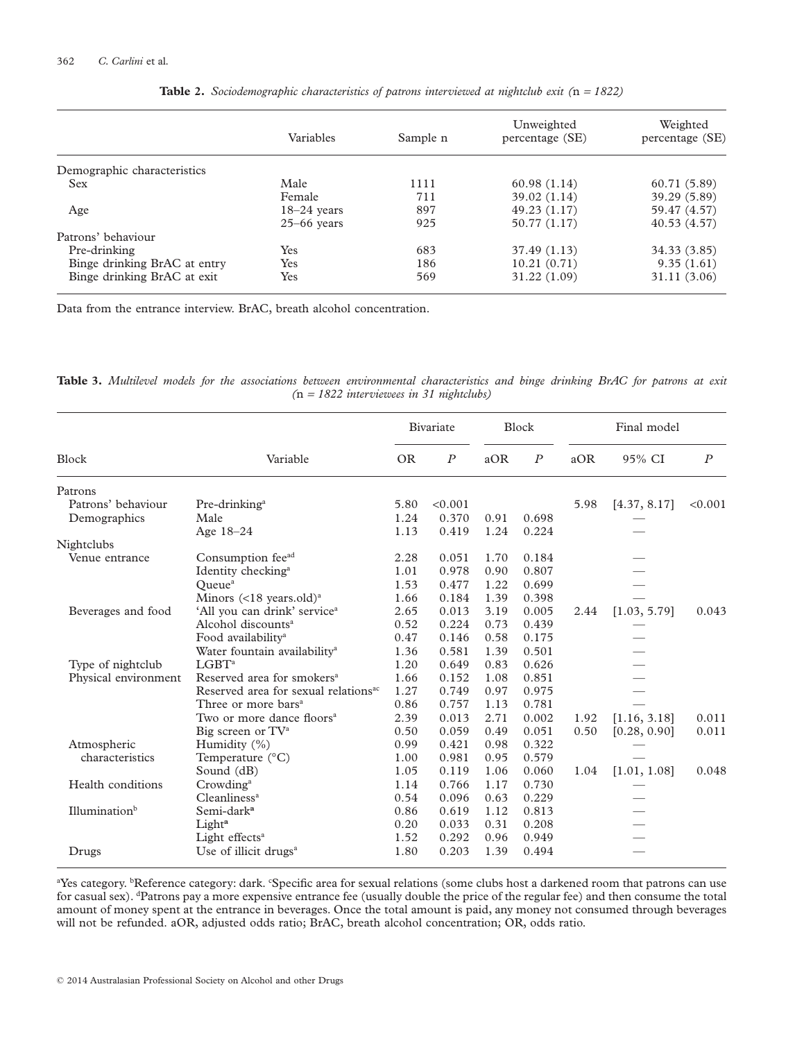|                              | Variables     |      | Unweighted<br>percentage (SE) | Weighted<br>percentage (SE) |  |
|------------------------------|---------------|------|-------------------------------|-----------------------------|--|
| Demographic characteristics  |               |      |                               |                             |  |
| <b>Sex</b>                   | Male          | 1111 | 60.98(1.14)                   | 60.71 (5.89)                |  |
|                              | Female        | 711  | 39.02 (1.14)                  | 39.29 (5.89)                |  |
| Age                          | $18-24$ vears | 897  | 49.23 (1.17)                  | 59.47 (4.57)                |  |
|                              | $25-66$ vears | 925  | 50.77 (1.17)                  | 40.53(4.57)                 |  |
| Patrons' behaviour           |               |      |                               |                             |  |
| Pre-drinking                 | Yes           | 683  | 37.49 (1.13)                  | 34.33 (3.85)                |  |
| Binge drinking BrAC at entry | Yes           | 186  | 10.21(0.71)                   | 9.35(1.61)                  |  |
| Binge drinking BrAC at exit  | Yes           | 569  | 31.22 (1.09)                  | 31.11(3.06)                 |  |

**Table 2.** *Sociodemographic characteristics of patrons interviewed at nightclub exit (*n *= 1822)*

Data from the entrance interview. BrAC, breath alcohol concentration.

**Table 3.** *Multilevel models for the associations between environmental characteristics and binge drinking BrAC for patrons at exit (*n *= 1822 interviewees in 31 nightclubs)*

|                           |                                                  |           | Bivariate        |      | Block            |      | Final model  |                  |  |
|---------------------------|--------------------------------------------------|-----------|------------------|------|------------------|------|--------------|------------------|--|
| Block                     | Variable                                         | <b>OR</b> | $\boldsymbol{P}$ | aOR  | $\boldsymbol{P}$ | aOR  | 95% CI       | $\boldsymbol{P}$ |  |
| Patrons                   |                                                  |           |                  |      |                  |      |              |                  |  |
| Patrons' behaviour        | Pre-drinking <sup>a</sup>                        | 5.80      | < 0.001          |      |                  | 5.98 | [4.37, 8.17] | < 0.001          |  |
| Demographics              | Male                                             | 1.24      | 0.370            | 0.91 | 0.698            |      |              |                  |  |
|                           | Age 18-24                                        | 1.13      | 0.419            | 1.24 | 0.224            |      |              |                  |  |
| Nightclubs                |                                                  |           |                  |      |                  |      |              |                  |  |
| Venue entrance            | Consumption fee <sup>ad</sup>                    | 2.28      | 0.051            | 1.70 | 0.184            |      |              |                  |  |
|                           | Identity checking <sup>a</sup>                   | 1.01      | 0.978            | 0.90 | 0.807            |      |              |                  |  |
|                           | Queue <sup>a</sup>                               | 1.53      | 0.477            | 1.22 | 0.699            |      |              |                  |  |
|                           | Minors $(<18$ years.old) <sup>a</sup>            | 1.66      | 0.184            | 1.39 | 0.398            |      |              |                  |  |
| Beverages and food        | 'All you can drink' service <sup>a</sup>         | 2.65      | 0.013            | 3.19 | 0.005            | 2.44 | [1.03, 5.79] | 0.043            |  |
|                           | Alcohol discounts <sup>a</sup>                   | 0.52      | 0.224            | 0.73 | 0.439            |      |              |                  |  |
|                           | Food availability <sup>a</sup>                   | 0.47      | 0.146            | 0.58 | 0.175            |      |              |                  |  |
|                           | Water fountain availability <sup>a</sup>         | 1.36      | 0.581            | 1.39 | 0.501            |      |              |                  |  |
| Type of nightclub         | $LGBT^a$                                         | 1.20      | 0.649            | 0.83 | 0.626            |      |              |                  |  |
| Physical environment      | Reserved area for smokers <sup>a</sup>           | 1.66      | 0.152            | 1.08 | 0.851            |      |              |                  |  |
|                           | Reserved area for sexual relations <sup>ac</sup> | 1.27      | 0.749            | 0.97 | 0.975            |      |              |                  |  |
|                           | Three or more bars <sup>a</sup>                  | 0.86      | 0.757            | 1.13 | 0.781            |      |              |                  |  |
|                           | Two or more dance floors <sup>a</sup>            | 2.39      | 0.013            | 2.71 | 0.002            | 1.92 | [1.16, 3.18] | 0.011            |  |
|                           | Big screen or TV <sup>a</sup>                    | 0.50      | 0.059            | 0.49 | 0.051            | 0.50 | [0.28, 0.90] | 0.011            |  |
| Atmospheric               | Humidity $(\%)$                                  | 0.99      | 0.421            | 0.98 | 0.322            |      |              |                  |  |
| characteristics           | Temperature (°C)                                 | 1.00      | 0.981            | 0.95 | 0.579            |      |              |                  |  |
|                           | Sound (dB)                                       | 1.05      | 0.119            | 1.06 | 0.060            | 1.04 | [1.01, 1.08] | 0.048            |  |
| Health conditions         | Crowding <sup>a</sup>                            | 1.14      | 0.766            | 1.17 | 0.730            |      |              |                  |  |
|                           | Cleanliness <sup>a</sup>                         | 0.54      | 0.096            | 0.63 | 0.229            |      |              |                  |  |
| Illumination <sup>b</sup> | Semi-dark <sup>a</sup>                           | 0.86      | 0.619            | 1.12 | 0.813            |      |              |                  |  |
|                           | Light <sup>a</sup>                               | 0.20      | 0.033            | 0.31 | 0.208            |      |              |                  |  |
|                           | Light effects <sup>a</sup>                       | 1.52      | 0.292            | 0.96 | 0.949            |      |              |                  |  |
| Drugs                     | Use of illicit drugs <sup>a</sup>                | 1.80      | 0.203            | 1.39 | 0.494            |      |              |                  |  |

<sup>a</sup>Yes category. <sup>b</sup>Reference category: dark. <sup>c</sup>Specific area for sexual relations (some clubs host a darkened room that patrons can use for casual sex). <sup>d</sup> Patrons pay a more expensive entrance fee (usually double the price of the regular fee) and then consume the total amount of money spent at the entrance in beverages. Once the total amount is paid, any money not consumed through beverages will not be refunded. aOR, adjusted odds ratio; BrAC, breath alcohol concentration; OR, odds ratio.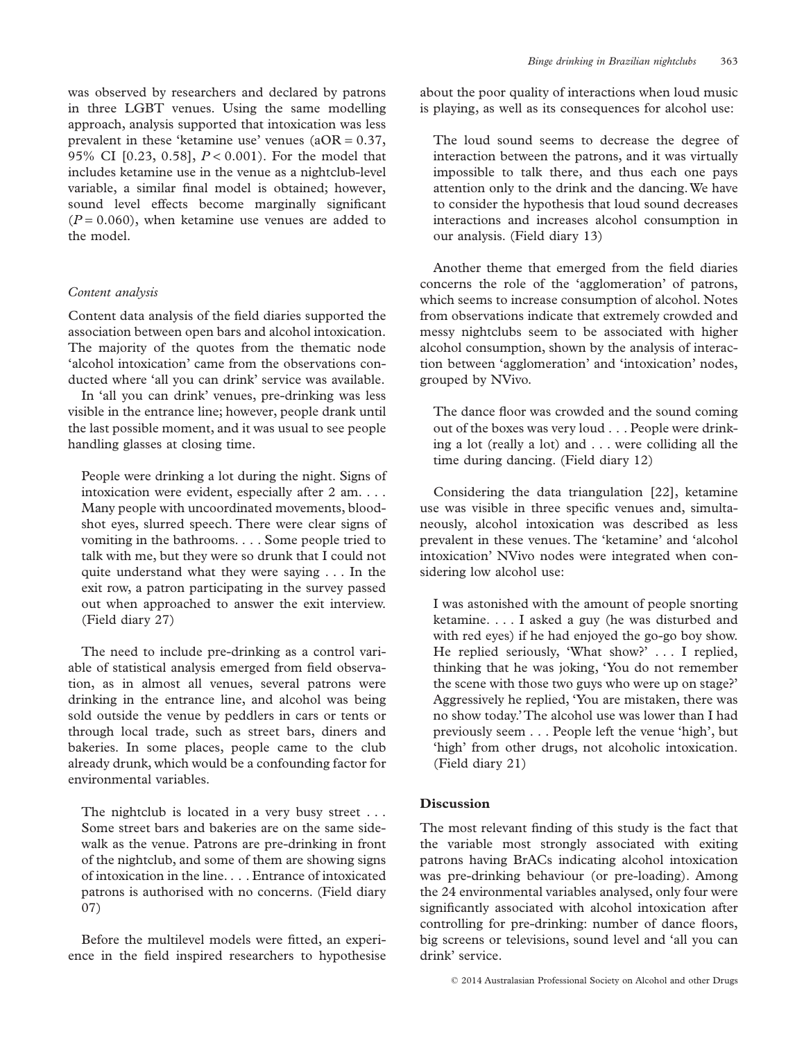was observed by researchers and declared by patrons in three LGBT venues. Using the same modelling approach, analysis supported that intoxication was less prevalent in these 'ketamine use' venues  $(aOR = 0.37,$ 95% CI [0.23, 0.58], *P* < 0.001). For the model that includes ketamine use in the venue as a nightclub-level variable, a similar final model is obtained; however, sound level effects become marginally significant  $(P = 0.060)$ , when ketamine use venues are added to the model.

## *Content analysis*

Content data analysis of the field diaries supported the association between open bars and alcohol intoxication. The majority of the quotes from the thematic node 'alcohol intoxication' came from the observations conducted where 'all you can drink' service was available.

In 'all you can drink' venues, pre-drinking was less visible in the entrance line; however, people drank until the last possible moment, and it was usual to see people handling glasses at closing time.

People were drinking a lot during the night. Signs of intoxication were evident, especially after 2 am. . . . Many people with uncoordinated movements, bloodshot eyes, slurred speech. There were clear signs of vomiting in the bathrooms. . . . Some people tried to talk with me, but they were so drunk that I could not quite understand what they were saying . . . In the exit row, a patron participating in the survey passed out when approached to answer the exit interview. (Field diary 27)

The need to include pre-drinking as a control variable of statistical analysis emerged from field observation, as in almost all venues, several patrons were drinking in the entrance line, and alcohol was being sold outside the venue by peddlers in cars or tents or through local trade, such as street bars, diners and bakeries. In some places, people came to the club already drunk, which would be a confounding factor for environmental variables.

The nightclub is located in a very busy street ... Some street bars and bakeries are on the same sidewalk as the venue. Patrons are pre-drinking in front of the nightclub, and some of them are showing signs of intoxication in the line. . . . Entrance of intoxicated patrons is authorised with no concerns. (Field diary 07)

Before the multilevel models were fitted, an experience in the field inspired researchers to hypothesise about the poor quality of interactions when loud music is playing, as well as its consequences for alcohol use:

The loud sound seems to decrease the degree of interaction between the patrons, and it was virtually impossible to talk there, and thus each one pays attention only to the drink and the dancing.We have to consider the hypothesis that loud sound decreases interactions and increases alcohol consumption in our analysis. (Field diary 13)

Another theme that emerged from the field diaries concerns the role of the 'agglomeration' of patrons, which seems to increase consumption of alcohol. Notes from observations indicate that extremely crowded and messy nightclubs seem to be associated with higher alcohol consumption, shown by the analysis of interaction between 'agglomeration' and 'intoxication' nodes, grouped by NVivo.

The dance floor was crowded and the sound coming out of the boxes was very loud . . . People were drinking a lot (really a lot) and . . . were colliding all the time during dancing. (Field diary 12)

Considering the data triangulation [22], ketamine use was visible in three specific venues and, simultaneously, alcohol intoxication was described as less prevalent in these venues. The 'ketamine' and 'alcohol intoxication' NVivo nodes were integrated when considering low alcohol use:

I was astonished with the amount of people snorting ketamine. . . . I asked a guy (he was disturbed and with red eyes) if he had enjoyed the go-go boy show. He replied seriously, 'What show?' . . . I replied, thinking that he was joking, 'You do not remember the scene with those two guys who were up on stage?' Aggressively he replied, 'You are mistaken, there was no show today.'The alcohol use was lower than I had previously seem . . . People left the venue 'high', but 'high' from other drugs, not alcoholic intoxication. (Field diary 21)

### **Discussion**

The most relevant finding of this study is the fact that the variable most strongly associated with exiting patrons having BrACs indicating alcohol intoxication was pre-drinking behaviour (or pre-loading). Among the 24 environmental variables analysed, only four were significantly associated with alcohol intoxication after controlling for pre-drinking: number of dance floors, big screens or televisions, sound level and 'all you can drink' service.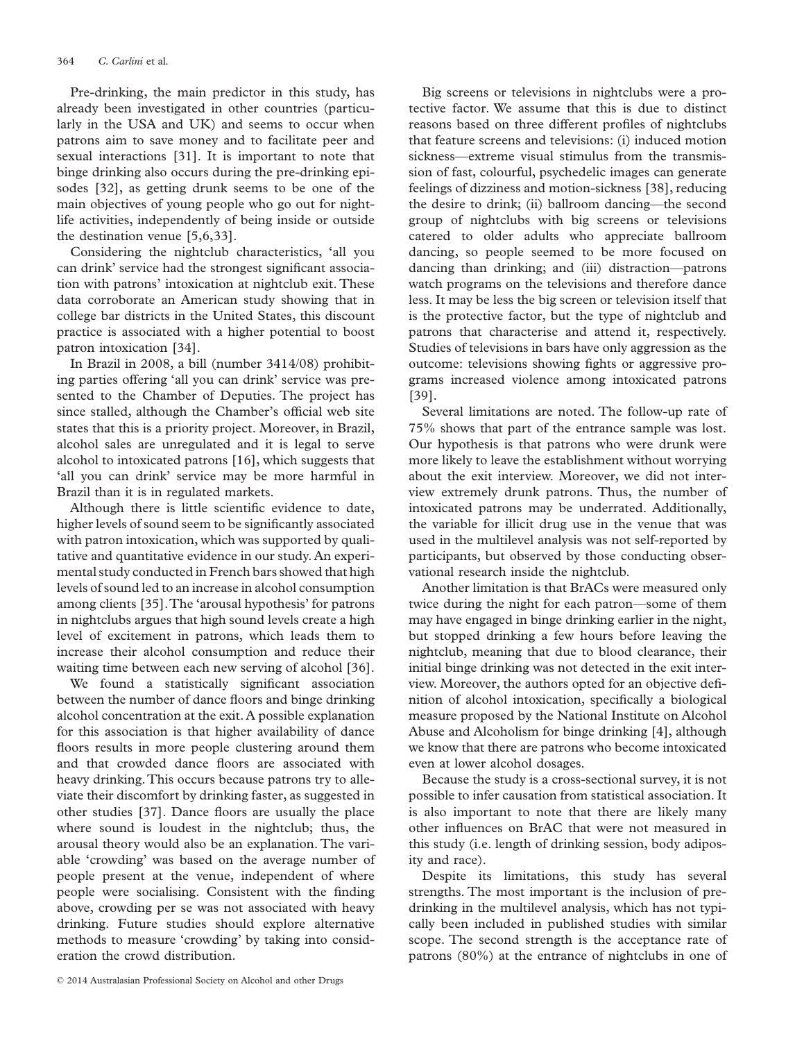Pre-drinking, the main predictor in this study, has already been investigated in other countries (particularly in the USA and UK) and seems to occur when patrons aim to save money and to facilitate peer and sexual interactions [31]. It is important to note that binge drinking also occurs during the pre-drinking episodes [32], as getting drunk seems to be one of the main objectives of young people who go out for nightlife activities, independently of being inside or outside the destination venue [5,6,33].

Considering the nightclub characteristics, 'all you can drink' service had the strongest significant association with patrons' intoxication at nightclub exit. These data corroborate an American study showing that in college bar districts in the United States, this discount practice is associated with a higher potential to boost patron intoxication [34].

In Brazil in 2008, a bill (number 3414/08) prohibiting parties offering 'all you can drink' service was presented to the Chamber of Deputies. The project has since stalled, although the Chamber's official web site states that this is a priority project. Moreover, in Brazil, alcohol sales are unregulated and it is legal to serve alcohol to intoxicated patrons [16], which suggests that 'all you can drink' service may be more harmful in Brazil than it is in regulated markets.

Although there is little scientific evidence to date, higher levels of sound seem to be significantly associated with patron intoxication, which was supported by qualitative and quantitative evidence in our study. An experimental study conducted in French bars showed that high levels of sound led to an increase in alcohol consumption among clients [35].The 'arousal hypothesis' for patrons in nightclubs argues that high sound levels create a high level of excitement in patrons, which leads them to increase their alcohol consumption and reduce their waiting time between each new serving of alcohol [36].

We found a statistically significant association between the number of dance floors and binge drinking alcohol concentration at the exit. A possible explanation for this association is that higher availability of dance floors results in more people clustering around them and that crowded dance floors are associated with heavy drinking.This occurs because patrons try to alleviate their discomfort by drinking faster, as suggested in other studies [37]. Dance floors are usually the place where sound is loudest in the nightclub; thus, the arousal theory would also be an explanation. The variable 'crowding' was based on the average number of people present at the venue, independent of where people were socialising. Consistent with the finding above, crowding per se was not associated with heavy drinking. Future studies should explore alternative methods to measure 'crowding' by taking into consideration the crowd distribution.

Big screens or televisions in nightclubs were a protective factor. We assume that this is due to distinct reasons based on three different profiles of nightclubs that feature screens and televisions: (i) induced motion sickness—extreme visual stimulus from the transmission of fast, colourful, psychedelic images can generate feelings of dizziness and motion-sickness [38], reducing the desire to drink; (ii) ballroom dancing—the second group of nightclubs with big screens or televisions catered to older adults who appreciate ballroom dancing, so people seemed to be more focused on dancing than drinking; and (iii) distraction—patrons watch programs on the televisions and therefore dance less. It may be less the big screen or television itself that is the protective factor, but the type of nightclub and patrons that characterise and attend it, respectively. Studies of televisions in bars have only aggression as the outcome: televisions showing fights or aggressive programs increased violence among intoxicated patrons [39].

Several limitations are noted. The follow-up rate of 75% shows that part of the entrance sample was lost. Our hypothesis is that patrons who were drunk were more likely to leave the establishment without worrying about the exit interview. Moreover, we did not interview extremely drunk patrons. Thus, the number of intoxicated patrons may be underrated. Additionally, the variable for illicit drug use in the venue that was used in the multilevel analysis was not self-reported by participants, but observed by those conducting observational research inside the nightclub.

Another limitation is that BrACs were measured only twice during the night for each patron—some of them may have engaged in binge drinking earlier in the night, but stopped drinking a few hours before leaving the nightclub, meaning that due to blood clearance, their initial binge drinking was not detected in the exit interview. Moreover, the authors opted for an objective definition of alcohol intoxication, specifically a biological measure proposed by the National Institute on Alcohol Abuse and Alcoholism for binge drinking [4], although we know that there are patrons who become intoxicated even at lower alcohol dosages.

Because the study is a cross-sectional survey, it is not possible to infer causation from statistical association. It is also important to note that there are likely many other influences on BrAC that were not measured in this study (i.e. length of drinking session, body adiposity and race).

Despite its limitations, this study has several strengths. The most important is the inclusion of predrinking in the multilevel analysis, which has not typically been included in published studies with similar scope. The second strength is the acceptance rate of patrons (80%) at the entrance of nightclubs in one of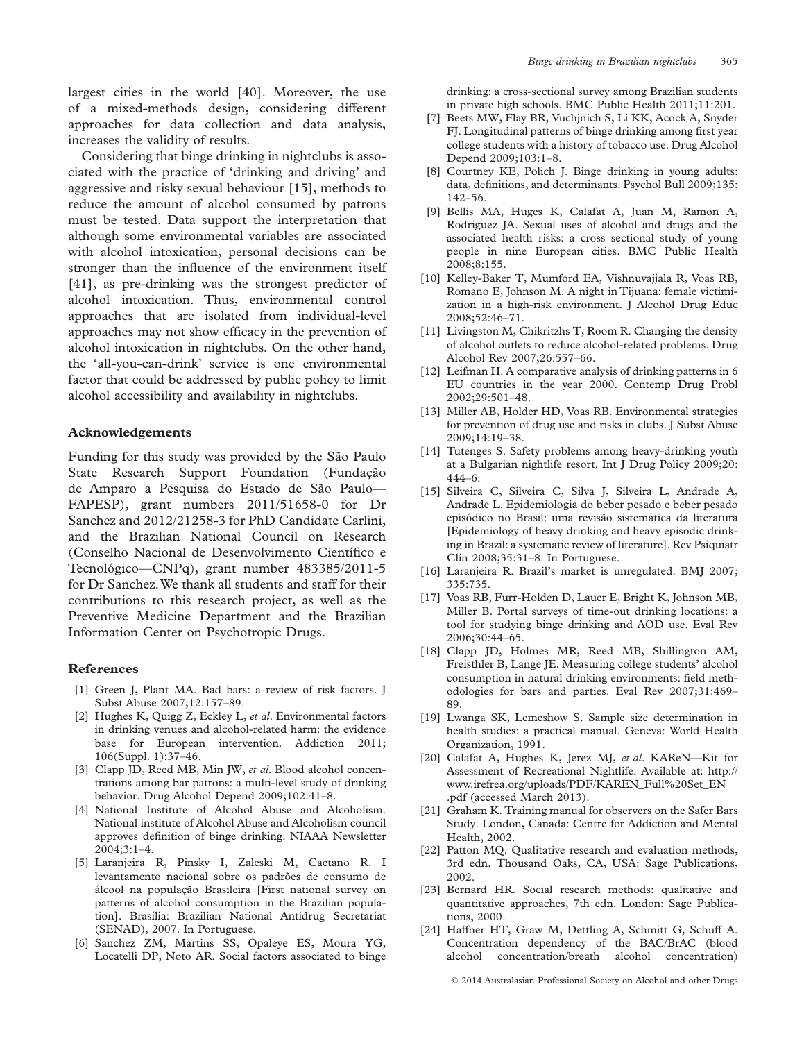largest cities in the world [40]. Moreover, the use of a mixed-methods design, considering different approaches for data collection and data analysis, increases the validity of results.

Considering that binge drinking in nightclubs is associated with the practice of 'drinking and driving' and aggressive and risky sexual behaviour [15], methods to reduce the amount of alcohol consumed by patrons must be tested. Data support the interpretation that although some environmental variables are associated with alcohol intoxication, personal decisions can be stronger than the influence of the environment itself [41], as pre-drinking was the strongest predictor of alcohol intoxication. Thus, environmental control approaches that are isolated from individual-level approaches may not show efficacy in the prevention of alcohol intoxication in nightclubs. On the other hand, the 'all-you-can-drink' service is one environmental factor that could be addressed by public policy to limit alcohol accessibility and availability in nightclubs.

## **Acknowledgements**

Funding for this study was provided by the São Paulo State Research Support Foundation (Fundação de Amparo a Pesquisa do Estado de São Paulo— FAPESP), grant numbers 2011/51658-0 for Dr Sanchez and 2012/21258-3 for PhD Candidate Carlini, and the Brazilian National Council on Research (Conselho Nacional de Desenvolvimento Científico e Tecnológico—CNPq), grant number 483385/2011-5 for Dr Sanchez.We thank all students and staff for their contributions to this research project, as well as the Preventive Medicine Department and the Brazilian Information Center on Psychotropic Drugs.

## **References**

- [1] Green J, Plant MA. Bad bars: a review of risk factors. J Subst Abuse 2007;12:157–89.
- [2] Hughes K, Quigg Z, Eckley L, *et al*. Environmental factors in drinking venues and alcohol-related harm: the evidence base for European intervention. Addiction 2011; 106(Suppl. 1):37–46.
- [3] Clapp JD, Reed MB, Min JW, *et al*. Blood alcohol concentrations among bar patrons: a multi-level study of drinking behavior. Drug Alcohol Depend 2009;102:41–8.
- [4] National Institute of Alcohol Abuse and Alcoholism. National institute of Alcohol Abuse and Alcoholism council approves definition of binge drinking. NIAAA Newsletter 2004;3:1–4.
- [5] Laranjeira R, Pinsky I, Zaleski M, Caetano R. I levantamento nacional sobre os padrões de consumo de álcool na população Brasileira [First national survey on patterns of alcohol consumption in the Brazilian population]. Brasília: Brazilian National Antidrug Secretariat (SENAD), 2007. In Portuguese.
- [6] Sanchez ZM, Martins SS, Opaleye ES, Moura YG, Locatelli DP, Noto AR. Social factors associated to binge

drinking: a cross-sectional survey among Brazilian students in private high schools. BMC Public Health 2011;11:201.

- [7] Beets MW, Flay BR, Vuchjnich S, Li KK, Acock A, Snyder FJ. Longitudinal patterns of binge drinking among first year college students with a history of tobacco use. Drug Alcohol Depend 2009;103:1–8.
- [8] Courtney KE, Polich J. Binge drinking in young adults: data, definitions, and determinants. Psychol Bull 2009;135: 142–56.
- [9] Bellis MA, Huges K, Calafat A, Juan M, Ramon A, Rodriguez JA. Sexual uses of alcohol and drugs and the associated health risks: a cross sectional study of young people in nine European cities. BMC Public Health 2008;8:155.
- [10] Kelley-Baker T, Mumford EA, Vishnuvajjala R, Voas RB, Romano E, Johnson M. A night in Tijuana: female victimization in a high-risk environment. J Alcohol Drug Educ 2008;52:46–71.
- [11] Livingston M, Chikritzhs T, Room R. Changing the density of alcohol outlets to reduce alcohol-related problems. Drug Alcohol Rev 2007;26:557–66.
- [12] Leifman H. A comparative analysis of drinking patterns in 6 EU countries in the year 2000. Contemp Drug Probl 2002;29:501–48.
- [13] Miller AB, Holder HD, Voas RB. Environmental strategies for prevention of drug use and risks in clubs. J Subst Abuse 2009;14:19–38.
- [14] Tutenges S. Safety problems among heavy-drinking youth at a Bulgarian nightlife resort. Int J Drug Policy 2009;20: 444–6.
- [15] Silveira C, Silveira C, Silva J, Silveira L, Andrade A, Andrade L. Epidemiologia do beber pesado e beber pesado episódico no Brasil: uma revisão sistemática da literatura [Epidemiology of heavy drinking and heavy episodic drinking in Brazil: a systematic review of literature]. Rev Psiquiatr Clín 2008;35:31–8. In Portuguese.
- [16] Laranjeira R. Brazil's market is unregulated. BMJ 2007; 335:735.
- [17] Voas RB, Furr-Holden D, Lauer E, Bright K, Johnson MB, Miller B. Portal surveys of time-out drinking locations: a tool for studying binge drinking and AOD use. Eval Rev 2006;30:44–65.
- [18] Clapp JD, Holmes MR, Reed MB, Shillington AM, Freisthler B, Lange JE. Measuring college students' alcohol consumption in natural drinking environments: field methodologies for bars and parties. Eval Rev 2007;31:469– 89.
- [19] Lwanga SK, Lemeshow S. Sample size determination in health studies: a practical manual. Geneva: World Health Organization, 1991.
- [20] Calafat A, Hughes K, Jerez MJ, *et al*. KAReN—Kit for Assessment of Recreational Nightlife. Available at: [http://](http://www.irefrea.org/uploads/PDF/KAREN_Full%20Set_EN.pdf) [www.irefrea.org/uploads/PDF/KAREN\\_Full%20Set\\_EN](http://www.irefrea.org/uploads/PDF/KAREN_Full%20Set_EN.pdf) [.pdf](http://www.irefrea.org/uploads/PDF/KAREN_Full%20Set_EN.pdf) (accessed March 2013).
- [21] Graham K. Training manual for observers on the Safer Bars Study. London, Canada: Centre for Addiction and Mental Health, 2002.
- [22] Patton MO. Qualitative research and evaluation methods, 3rd edn. Thousand Oaks, CA, USA: Sage Publications, 2002.
- [23] Bernard HR. Social research methods: qualitative and quantitative approaches, 7th edn. London: Sage Publications, 2000.
- [24] Haffner HT, Graw M, Dettling A, Schmitt G, Schuff A. Concentration dependency of the BAC/BrAC (blood alcohol concentration/breath alcohol concentration)

© 2014 Australasian Professional Society on Alcohol and other Drugs